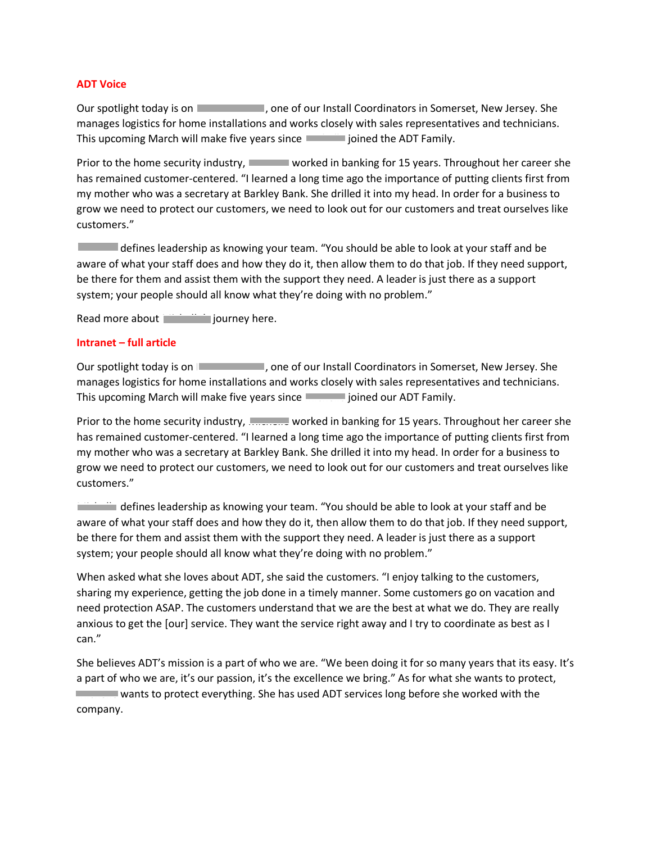## **ADT Voice**

Our spotlight today is on  $\Box$ , one of our Install Coordinators in Somerset, New Jersey. She manages logistics for home installations and works closely with sales representatives and technicians. This upcoming March will make five years since Michaelle joined the ADT Family.

Prior to the home security industry, **Nichella worked in banking for 15 years**. Throughout her career she has remained customer-centered. "I learned a long time ago the importance of putting clients first from my mother who was a secretary at Barkley Bank. She drilled it into my head. In order for a business to grow we need to protect our customers, we need to look out for our customers and treat ourselves like customers."

Michelle defines leadership as knowing your team. "You should be able to look at your staff and be aware of what your staff does and how they do it, then allow them to do that job. If they need support, be there for them and assist them with the support they need. A leader is just there as a support system; your people should all know what they're doing with no problem."

Read more about  $\blacksquare$  journey here.

## **Intranet – full article**

Our spotlight today is on  $\blacksquare$ , one of our Install Coordinators in Somerset, New Jersey. She manages logistics for home installations and works closely with sales representatives and technicians. This upcoming March will make five years since **Michaelle gloined our ADT Family**.

Prior to the home security industry, **Michaelle worked in banking for 15 years**. Throughout her career she has remained customer-centered. "I learned a long time ago the importance of putting clients first from my mother who was a secretary at Barkley Bank. She drilled it into my head. In order for a business to grow we need to protect our customers, we need to look out for our customers and treat ourselves like customers."

Michelle defines leadership as knowing your team. "You should be able to look at your staff and be aware of what your staff does and how they do it, then allow them to do that job. If they need support, be there for them and assist them with the support they need. A leader is just there as a support system; your people should all know what they're doing with no problem."

When asked what she loves about ADT, she said the customers. "I enjoy talking to the customers, sharing my experience, getting the job done in a timely manner. Some customers go on vacation and need protection ASAP. The customers understand that we are the best at what we do. They are really anxious to get the [our] service. They want the service right away and I try to coordinate as best as I can."

She believes ADT's mission is a part of who we are. "We been doing it for so many years that its easy. It's a part of who we are, it's our passion, it's the excellence we bring." As for what she wants to protect, Michelle wants to protect everything. She has used ADT services long before she worked with the company.